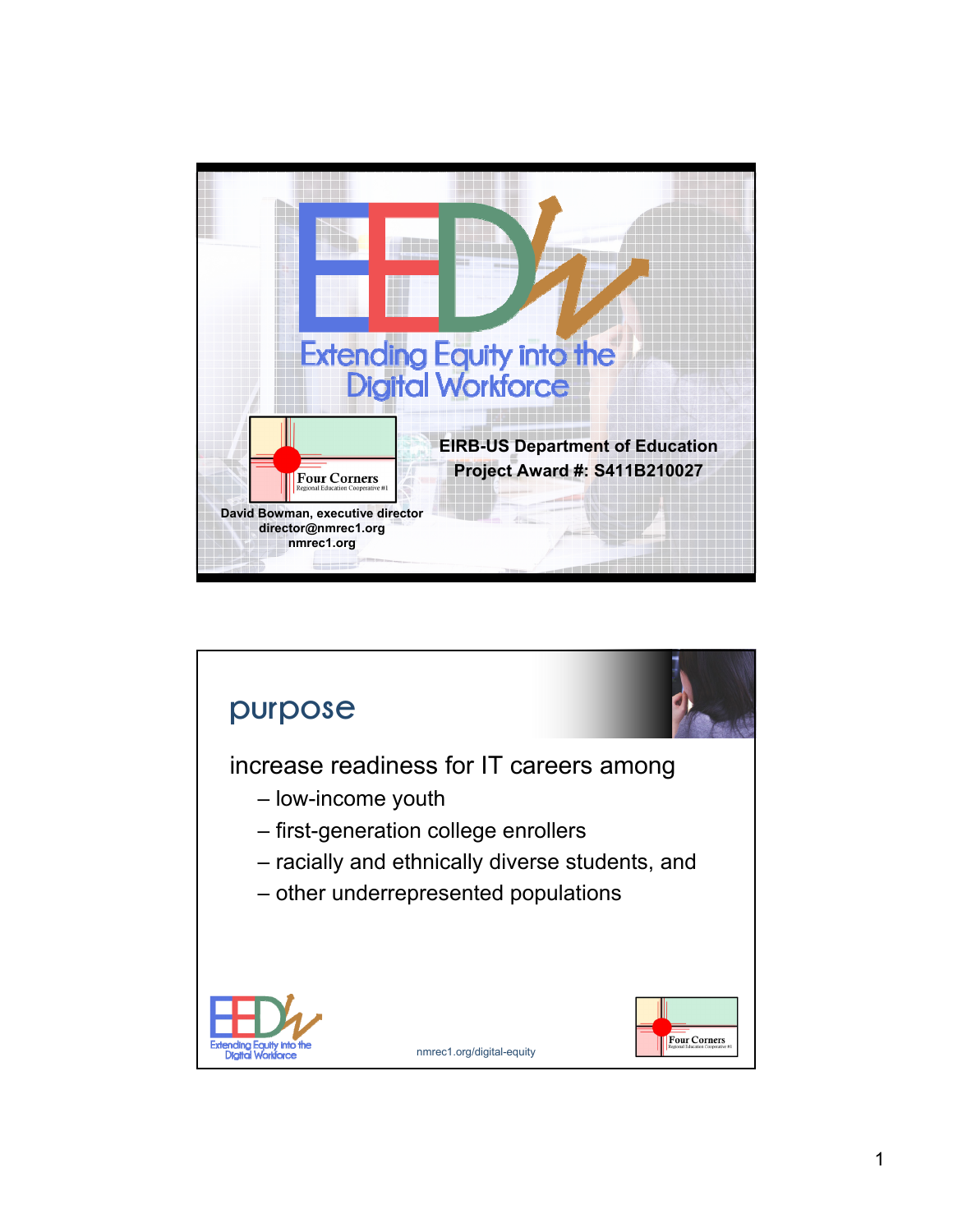

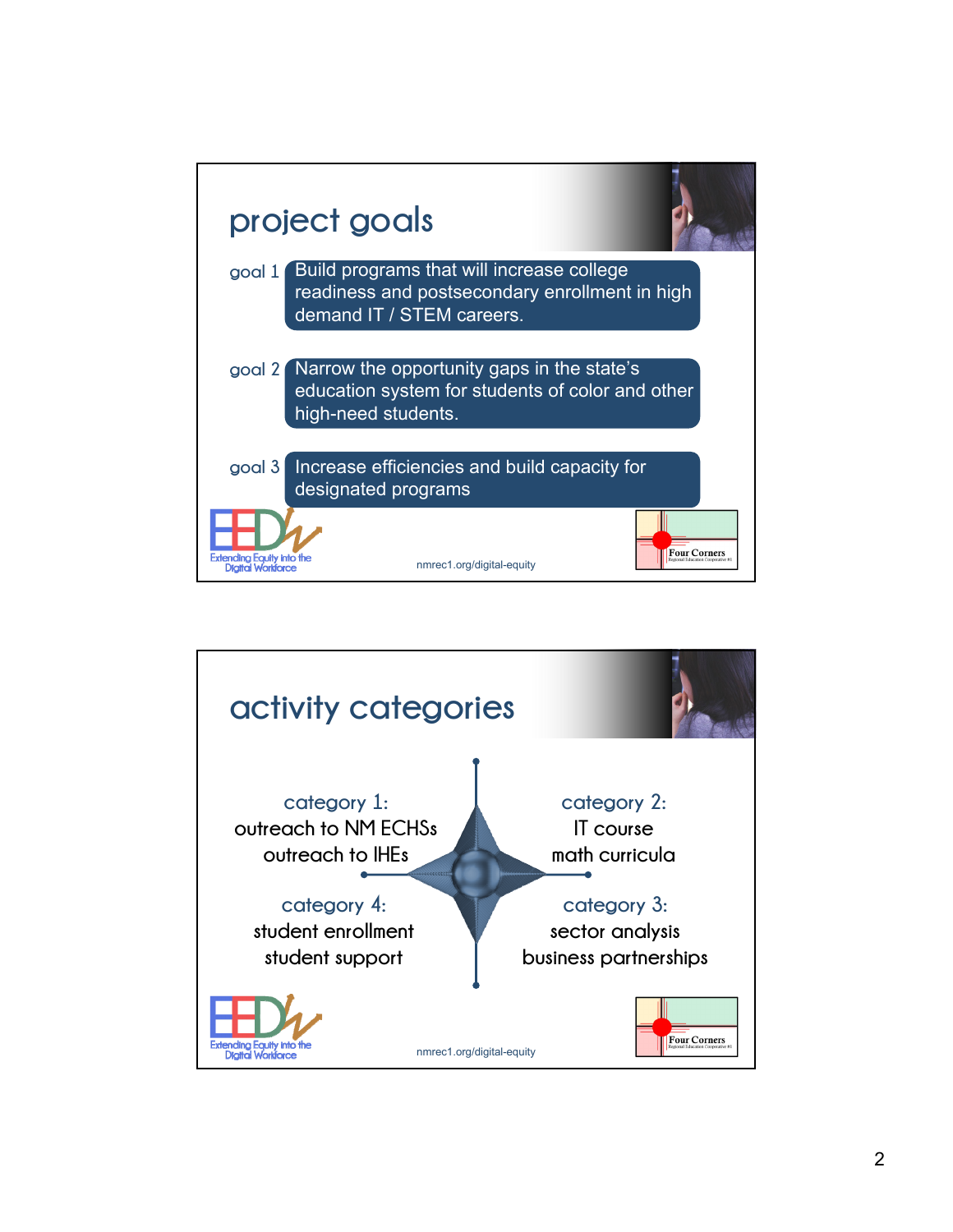

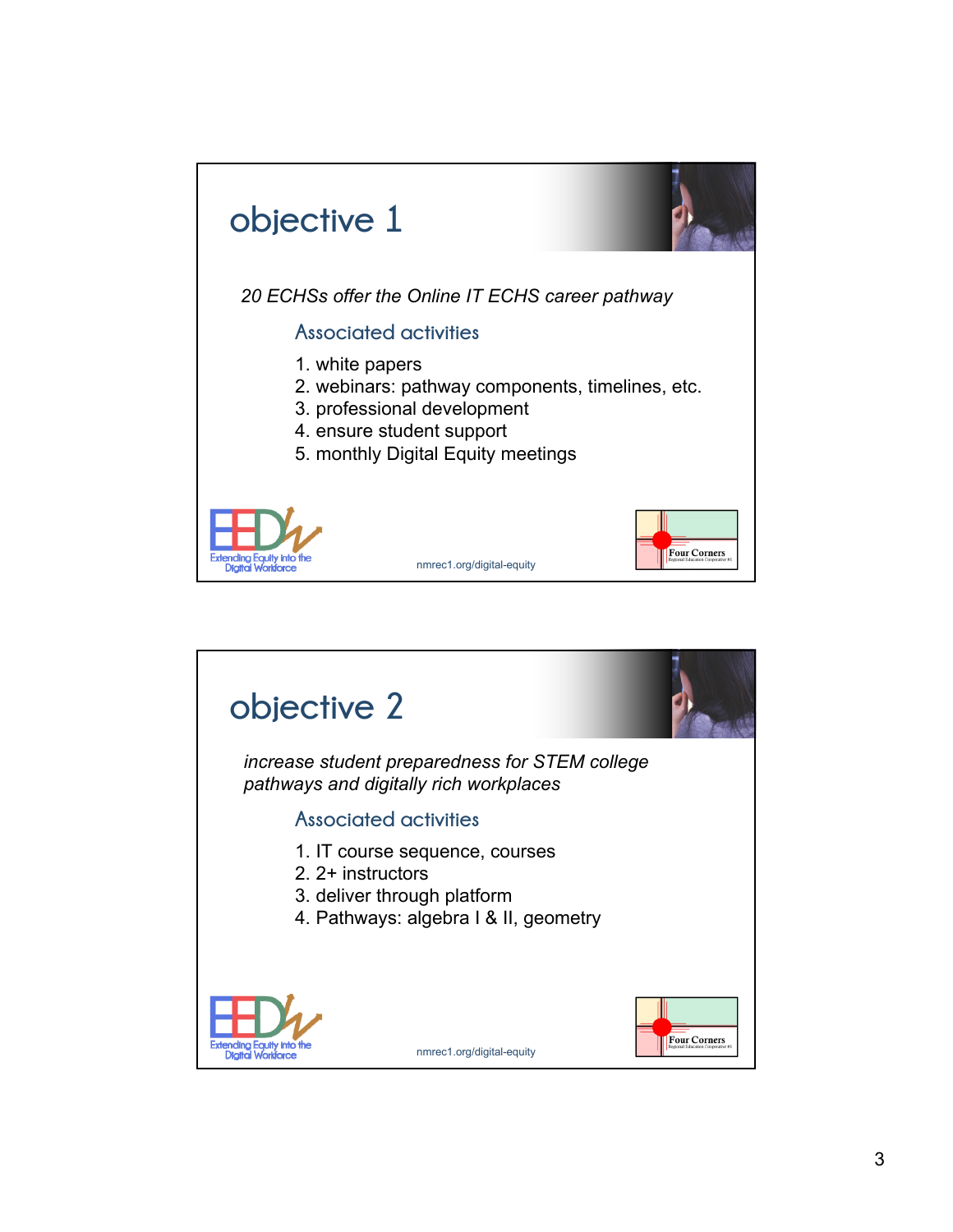

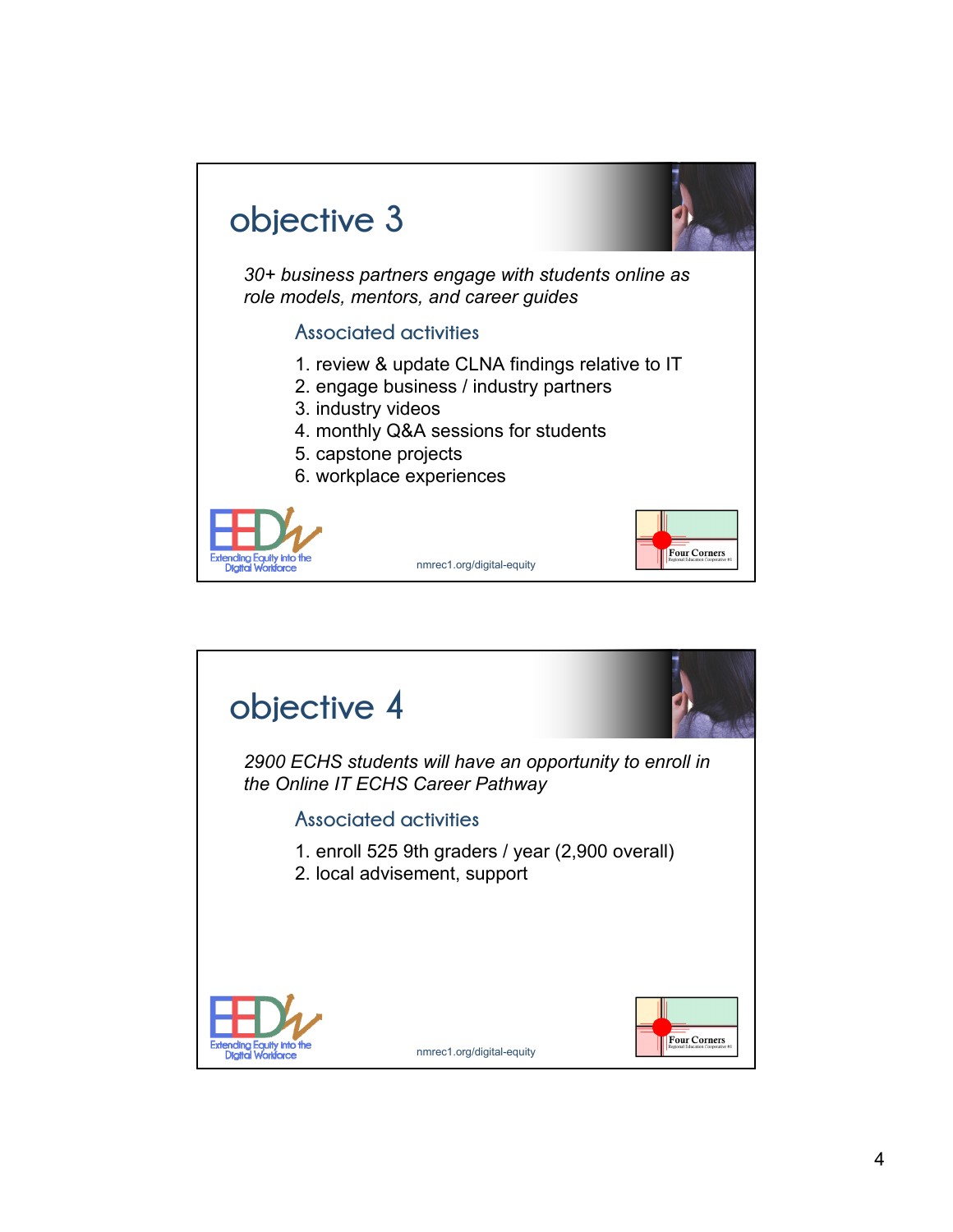

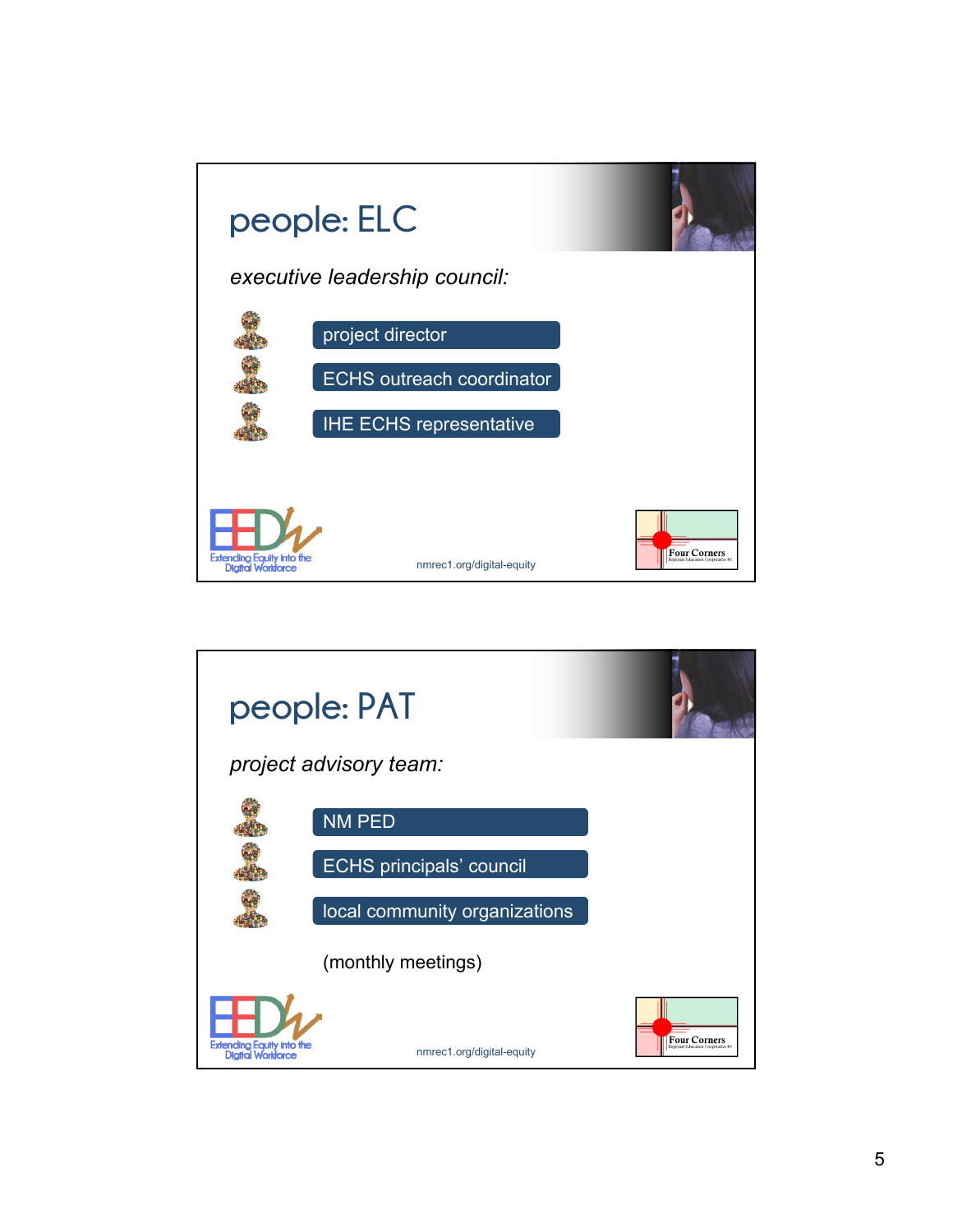

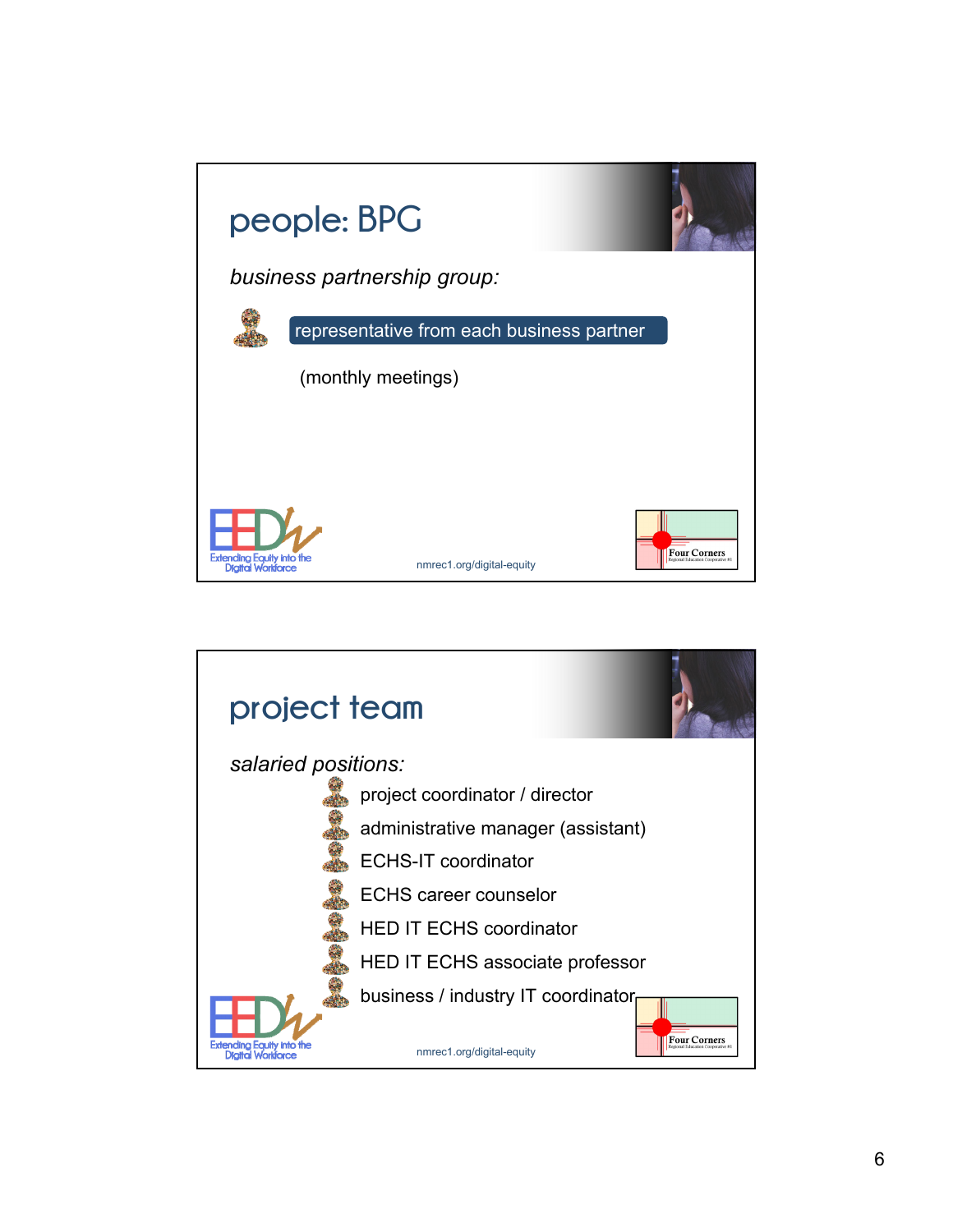